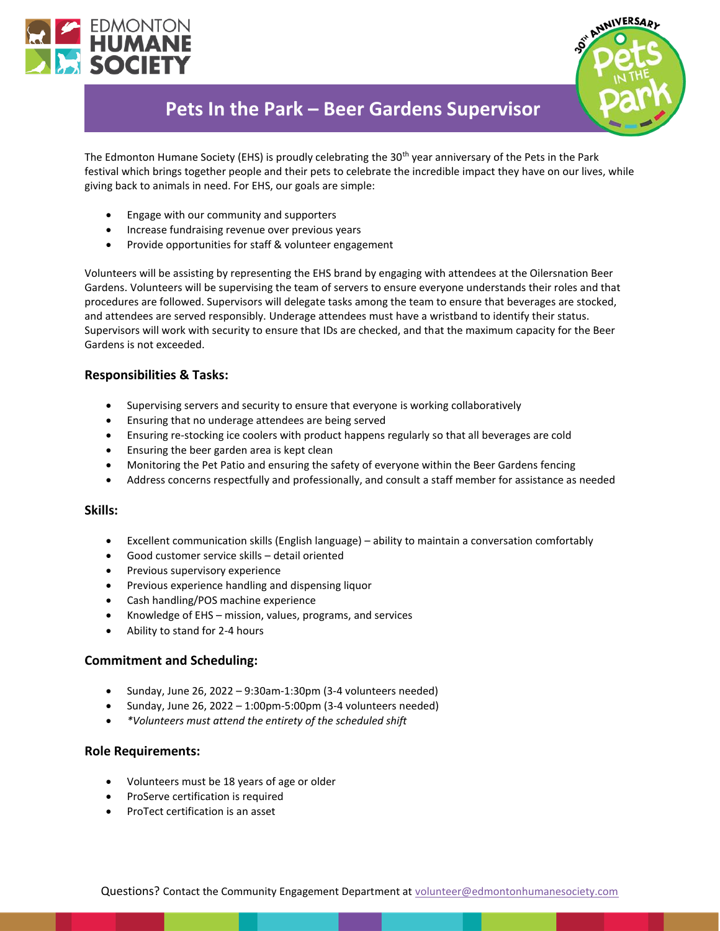



# **Pets In the Park – Beer Gardens Supervisor**

The Edmonton Humane Society (EHS) is proudly celebrating the 30<sup>th</sup> year anniversary of the Pets in the Park festival which brings together people and their pets to celebrate the incredible impact they have on our lives, while giving back to animals in need. For EHS, our goals are simple:

- Engage with our community and supporters
- Increase fundraising revenue over previous years
- Provide opportunities for staff & volunteer engagement

Volunteers will be assisting by representing the EHS brand by engaging with attendees at the Oilersnation Beer Gardens. Volunteers will be supervising the team of servers to ensure everyone understands their roles and that procedures are followed. Supervisors will delegate tasks among the team to ensure that beverages are stocked, and attendees are served responsibly. Underage attendees must have a wristband to identify their status. Supervisors will work with security to ensure that IDs are checked, and that the maximum capacity for the Beer Gardens is not exceeded.

# **Responsibilities & Tasks:**

- Supervising servers and security to ensure that everyone is working collaboratively
- Ensuring that no underage attendees are being served
- Ensuring re-stocking ice coolers with product happens regularly so that all beverages are cold
- Ensuring the beer garden area is kept clean
- Monitoring the Pet Patio and ensuring the safety of everyone within the Beer Gardens fencing
- Address concerns respectfully and professionally, and consult a staff member for assistance as needed

#### **Skills:**

- Excellent communication skills (English language) ability to maintain a conversation comfortably
- Good customer service skills detail oriented
- Previous supervisory experience
- Previous experience handling and dispensing liquor
- Cash handling/POS machine experience
- Knowledge of EHS mission, values, programs, and services
- Ability to stand for 2-4 hours

#### **Commitment and Scheduling:**

- Sunday, June 26, 2022 9:30am-1:30pm (3-4 volunteers needed)
- Sunday, June 26, 2022 1:00pm-5:00pm (3-4 volunteers needed)
- *\*Volunteers must attend the entirety of the scheduled shift*

#### **Role Requirements:**

- Volunteers must be 18 years of age or older
- ProServe certification is required
- ProTect certification is an asset